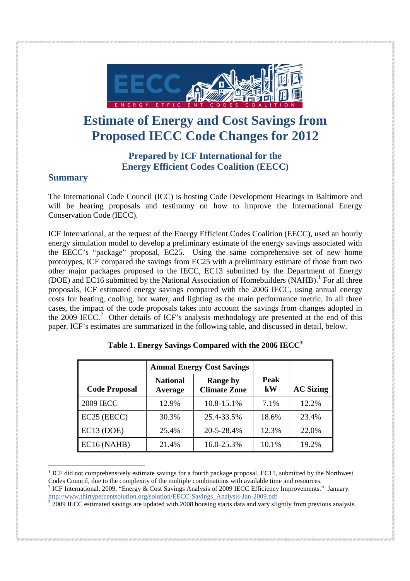

# **Estimate of Energy and Cost Savings from Proposed IECC Code Changes for 2012**

## **Prepared by ICF International for the Energy Efficient Codes Coalition (EECC)**

#### **Summary**

The International Code Council (ICC) is hosting Code Development Hearings in Baltimore and will be hearing proposals and testimony on how to improve the International Energy Conservation Code (IECC).

ICF International, at the request of the Energy Efficient Codes Coalition (EECC), used an hourly energy simulation model to develop a preliminary estimate of the energy savings associated with the EECC's "package" proposal, EC25. Using the same comprehensive set of new home prototypes, ICF compared the savings from EC25 with a preliminary estimate of those from two other major packages proposed to the IECC, EC13 submitted by the Department of Energy (DOE) and EC16 submitted by the National Association of Homebuilders (NAHB).<sup>1</sup> For all three proposals, ICF estimated energy savings compared with the 2006 IECC, using annual energy costs for heating, cooling, hot water, and lighting as the main performance metric. In all three cases, the impact of the code proposals takes into account the savings from changes adopted in the 2009 IECC.<sup>2</sup> Other details of ICF's analysis methodology are presented at the end of this paper. ICF's estimates are summarized in the following table, and discussed in detail, below.

|                         |                            | <b>Annual Energy Cost Savings</b>      |                        |                  |
|-------------------------|----------------------------|----------------------------------------|------------------------|------------------|
| <b>Code Proposal</b>    | <b>National</b><br>Average | <b>Range by</b><br><b>Climate Zone</b> | Peak<br>$\mathbf{k}$ W | <b>AC Sizing</b> |
| <b>2009 IECC</b>        | 12.9%                      | 10.8-15.1%                             | 7.1%                   | 12.2%            |
| EC <sub>25</sub> (EECC) | 30.3%                      | 25.4-33.5%                             | 18.6%                  | 23.4%            |
| EC13 (DOE)              | 25.4%                      | 20-5-28.4%                             | 12.3%                  | 22.0%            |
| EC16 (NAHB)             | 21.4%                      | 16.0-25.3%                             | 10.1%                  | 19.2%            |

|  | Table 1. Energy Savings Compared with the 2006 IECC <sup>3</sup> |  |  |
|--|------------------------------------------------------------------|--|--|
|  |                                                                  |  |  |

<sup>-</sup> $1$  ICF did not comprehensively estimate savings for a fourth package proposal, EC11, submitted by the Northwest Codes Council, due to the complexity of the multiple combinations with available time and resources.

<sup>2</sup> ICF International. 2009. "Energy & Cost Savings Analysis of 2009 IECC Efficiency Improvements." January. http://www.thirtypercentsolution.org/solution/EECC-Savings\_Analysis-Jan-2009.pdf

<sup>3</sup> 2009 IECC estimated savings are updated with 2008 housing starts data and vary slightly from previous analysis.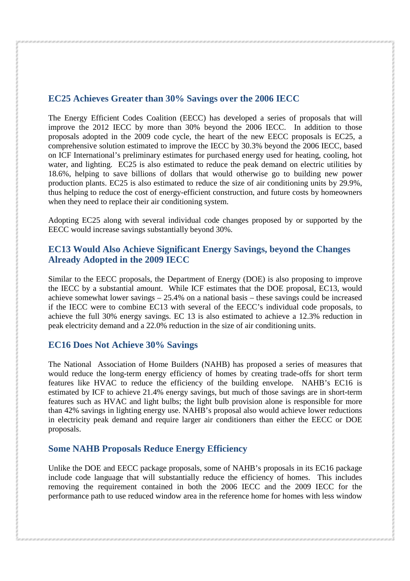## **EC25 Achieves Greater than 30% Savings over the 2006 IECC**

The Energy Efficient Codes Coalition (EECC) has developed a series of proposals that will improve the 2012 IECC by more than 30% beyond the 2006 IECC. In addition to those proposals adopted in the 2009 code cycle, the heart of the new EECC proposals is EC25, a comprehensive solution estimated to improve the IECC by 30.3% beyond the 2006 IECC, based on ICF International's preliminary estimates for purchased energy used for heating, cooling, hot water, and lighting. EC25 is also estimated to reduce the peak demand on electric utilities by 18.6%, helping to save billions of dollars that would otherwise go to building new power production plants. EC25 is also estimated to reduce the size of air conditioning units by 29.9%, thus helping to reduce the cost of energy-efficient construction, and future costs by homeowners when they need to replace their air conditioning system.

Adopting EC25 along with several individual code changes proposed by or supported by the EECC would increase savings substantially beyond 30%.

#### **EC13 Would Also Achieve Significant Energy Savings, beyond the Changes Already Adopted in the 2009 IECC**

Similar to the EECC proposals, the Department of Energy (DOE) is also proposing to improve the IECC by a substantial amount. While ICF estimates that the DOE proposal, EC13, would achieve somewhat lower savings – 25.4% on a national basis – these savings could be increased if the IECC were to combine EC13 with several of the EECC's individual code proposals, to achieve the full 30% energy savings. EC 13 is also estimated to achieve a 12.3% reduction in peak electricity demand and a 22.0% reduction in the size of air conditioning units.

#### **EC16 Does Not Achieve 30% Savings**

The National Association of Home Builders (NAHB) has proposed a series of measures that would reduce the long-term energy efficiency of homes by creating trade-offs for short term features like HVAC to reduce the efficiency of the building envelope. NAHB's EC16 is estimated by ICF to achieve 21.4% energy savings, but much of those savings are in short-term features such as HVAC and light bulbs; the light bulb provision alone is responsible for more than 42% savings in lighting energy use. NAHB's proposal also would achieve lower reductions in electricity peak demand and require larger air conditioners than either the EECC or DOE proposals.

#### **Some NAHB Proposals Reduce Energy Efficiency**

Unlike the DOE and EECC package proposals, some of NAHB's proposals in its EC16 package include code language that will substantially reduce the efficiency of homes. This includes removing the requirement contained in both the 2006 IECC and the 2009 IECC for the performance path to use reduced window area in the reference home for homes with less window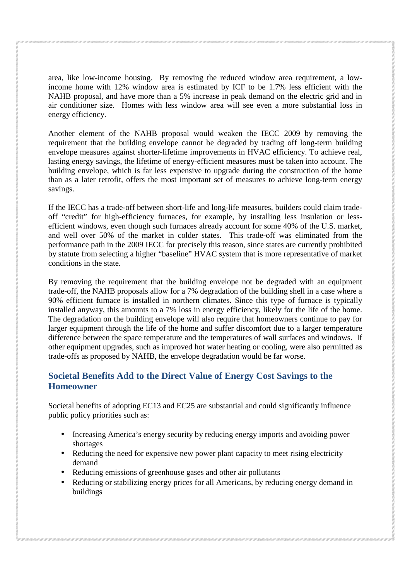area, like low-income housing. By removing the reduced window area requirement, a lowincome home with 12% window area is estimated by ICF to be 1.7% less efficient with the NAHB proposal, and have more than a 5% increase in peak demand on the electric grid and in air conditioner size. Homes with less window area will see even a more substantial loss in energy efficiency.

Another element of the NAHB proposal would weaken the IECC 2009 by removing the requirement that the building envelope cannot be degraded by trading off long-term building envelope measures against shorter-lifetime improvements in HVAC efficiency. To achieve real, lasting energy savings, the lifetime of energy-efficient measures must be taken into account. The building envelope, which is far less expensive to upgrade during the construction of the home than as a later retrofit, offers the most important set of measures to achieve long-term energy savings.

If the IECC has a trade-off between short-life and long-life measures, builders could claim tradeoff "credit" for high-efficiency furnaces, for example, by installing less insulation or lessefficient windows, even though such furnaces already account for some 40% of the U.S. market, and well over 50% of the market in colder states. This trade-off was eliminated from the performance path in the 2009 IECC for precisely this reason, since states are currently prohibited by statute from selecting a higher "baseline" HVAC system that is more representative of market conditions in the state.

By removing the requirement that the building envelope not be degraded with an equipment trade-off, the NAHB proposals allow for a 7% degradation of the building shell in a case where a 90% efficient furnace is installed in northern climates. Since this type of furnace is typically installed anyway, this amounts to a 7% loss in energy efficiency, likely for the life of the home. The degradation on the building envelope will also require that homeowners continue to pay for larger equipment through the life of the home and suffer discomfort due to a larger temperature difference between the space temperature and the temperatures of wall surfaces and windows. If other equipment upgrades, such as improved hot water heating or cooling, were also permitted as trade-offs as proposed by NAHB, the envelope degradation would be far worse.

## **Societal Benefits Add to the Direct Value of Energy Cost Savings to the Homeowner**

Societal benefits of adopting EC13 and EC25 are substantial and could significantly influence public policy priorities such as:

- Increasing America's energy security by reducing energy imports and avoiding power shortages
- Reducing the need for expensive new power plant capacity to meet rising electricity demand
- Reducing emissions of greenhouse gases and other air pollutants
- Reducing or stabilizing energy prices for all Americans, by reducing energy demand in buildings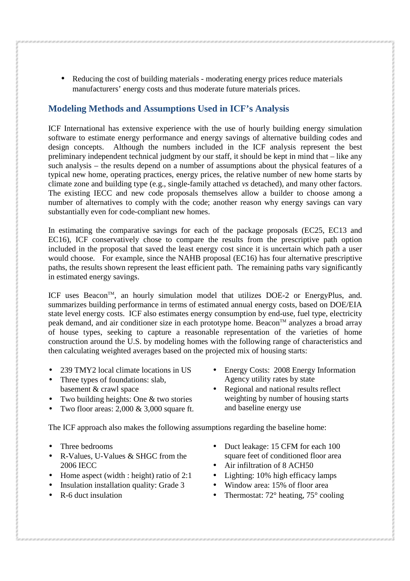• Reducing the cost of building materials - moderating energy prices reduce materials manufacturers' energy costs and thus moderate future materials prices.

#### **Modeling Methods and Assumptions Used in ICF's Analysis**

ICF International has extensive experience with the use of hourly building energy simulation software to estimate energy performance and energy savings of alternative building codes and design concepts. Although the numbers included in the ICF analysis represent the best preliminary independent technical judgment by our staff, it should be kept in mind that – like any such analysis – the results depend on a number of assumptions about the physical features of a typical new home, operating practices, energy prices, the relative number of new home starts by climate zone and building type (e.g., single-family attached *vs* detached), and many other factors. The existing IECC and new code proposals themselves allow a builder to choose among a number of alternatives to comply with the code; another reason why energy savings can vary substantially even for code-compliant new homes.

In estimating the comparative savings for each of the package proposals (EC25, EC13 and EC16), ICF conservatively chose to compare the results from the prescriptive path option included in the proposal that saved the least energy cost since it is uncertain which path a user would choose. For example, since the NAHB proposal (EC16) has four alternative prescriptive paths, the results shown represent the least efficient path. The remaining paths vary significantly in estimated energy savings.

ICF uses Beacon™, an hourly simulation model that utilizes DOE-2 or EnergyPlus, and. summarizes building performance in terms of estimated annual energy costs, based on DOE/EIA state level energy costs. ICF also estimates energy consumption by end-use, fuel type, electricity peak demand, and air conditioner size in each prototype home. Beacon<sup>TM</sup> analyzes a broad array of house types, seeking to capture a reasonable representation of the varieties of home construction around the U.S. by modeling homes with the following range of characteristics and then calculating weighted averages based on the projected mix of housing starts:

- 239 TMY2 local climate locations in US
- Three types of foundations: slab. basement & crawl space
- Two building heights: One & two stories
- Two floor areas: 2,000 & 3,000 square ft.

The ICF approach also makes the following assumptions regarding the baseline home:

- Three bedrooms
- R-Values, U-Values & SHGC from the 2006 IECC
- Home aspect (width : height) ratio of 2:1
- Insulation installation quality: Grade 3
- R-6 duct insulation

Agency utility rates by state • Regional and national results reflect

• Energy Costs: 2008 Energy Information

- weighting by number of housing starts and baseline energy use
- Duct leakage: 15 CFM for each 100 square feet of conditioned floor area
- Air infiltration of 8 ACH50
- Lighting: 10% high efficacy lamps
- Window area: 15% of floor area
- Thermostat:  $72^\circ$  heating,  $75^\circ$  cooling